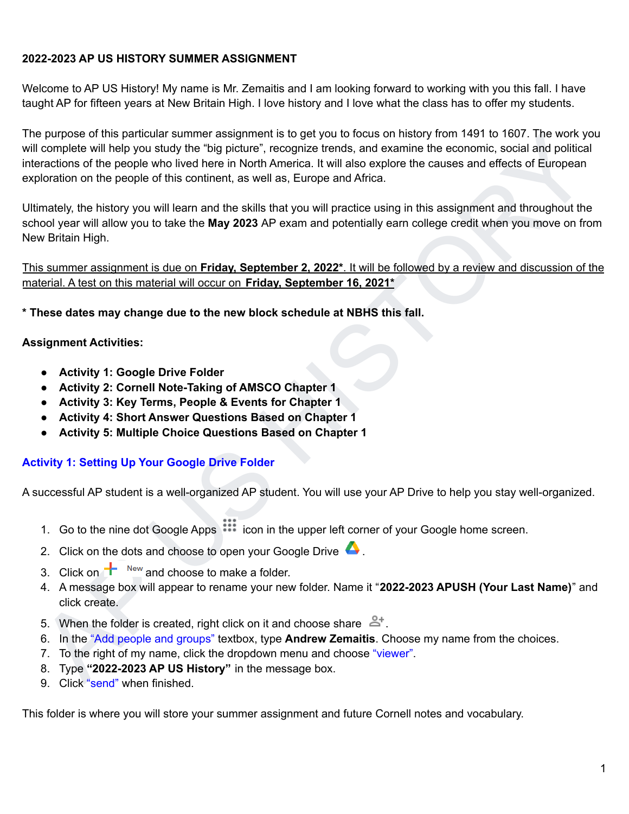## **2022-2023 AP US HISTORY SUMMER ASSIGNMENT**

Welcome to AP US History! My name is Mr. Zemaitis and I am looking forward to working with you this fall. I have taught AP for fifteen years at New Britain High. I love history and I love what the class has to offer my students.

e purses at this particular summer assignments to get you to bosts on hatioty trom 149 to the Condense of the posteroids of the posteroids of the posteroids of the posteroids of the posteroids of the posteroids of the pos The purpose of this particular summer assignment is to get you to focus on history from 1491 to 1607. The work you will complete will help you study the "big picture", recognize trends, and examine the economic, social and political interactions of the people who lived here in North America. It will also explore the causes and effects of European exploration on the people of this continent, as well as, Europe and Africa.

Ultimately, the history you will learn and the skills that you will practice using in this assignment and throughout the school year will allow you to take the **May 2023** AP exam and potentially earn college credit when you move on from New Britain High.

This summer assignment is due on **Friday, September 2, 2022\***. It will be followed by a review and discussion of the material. A test on this material will occur on **Friday, September 16, 2021\***

**\* These dates may change due to the new block schedule at NBHS this fall.**

#### **Assignment Activities:**

- **● Activity 1: Google Drive Folder**
- **● Activity 2: Cornell Note-Taking of AMSCO Chapter 1**
- **● Activity 3: Key Terms, People & Events for Chapter 1**
- **● Activity 4: Short Answer Questions Based on Chapter 1**
- **● Activity 5: Multiple Choice Questions Based on Chapter 1**

## **Activity 1: Setting Up Your Google Drive Folder**

A successful AP student is a well-organized AP student. You will use your AP Drive to help you stay well-organized.

- 1. Go to the nine dot Google Apps **...** icon in the upper left corner of your Google home screen.
- 2. Click on the dots and choose to open your Google Drive
- 3. Click on  $\mathbf{I}$  New and choose to make a folder.
- 4. A message box will appear to rename your new folder. Name it "**2022-2023 APUSH (Your Last Name)**" and click create.
- 5. When the folder is created, right click on it and choose share  $a^*$ .
- 6. In the "Add people and groups" textbox, type **Andrew Zemaitis**. Choose my name from the choices.
- 7. To the right of my name, click the dropdown menu and choose "viewer".
- 8. Type **"2022-2023 AP US History"** in the message box.
- 9. Click "send" when finished.

This folder is where you will store your summer assignment and future Cornell notes and vocabulary.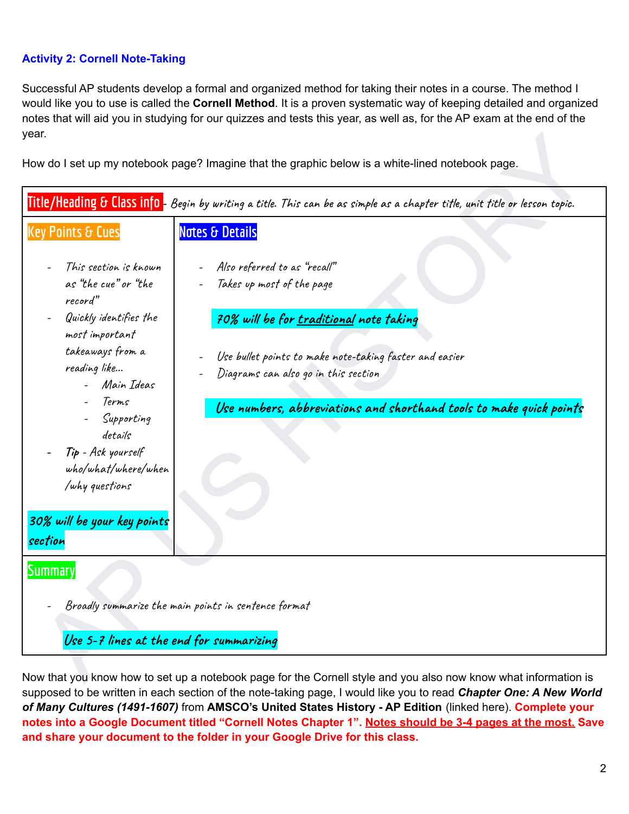## **Activity 2: Cornell Note-Taking**

Successful AP students develop a formal and organized method for taking their notes in a course. The method I would like you to use is called the **Cornell Method**. It is a proven systematic way of keeping detailed and organized notes that will aid you in studying for our quizzes and tests this year, as well as, for the AP exam at the end of the year.

How do I set up my notebook page? Imagine that the graphic below is a white-lined notebook page.



Now that you know how to set up a notebook page for the Cornell style and you also now know what information is supposed to be written in each section of the note-taking page, I would like you to read *Chapter One: A New World of Many Cultures (1491-1607)* from **AMSCO's United States History - AP Edition** (linked here). **Complete your** notes into a Google Document titled "Cornell Notes Chapter 1". Notes should be 3-4 pages at the most. Save **and share your document to the folder in your Google Drive for this class.**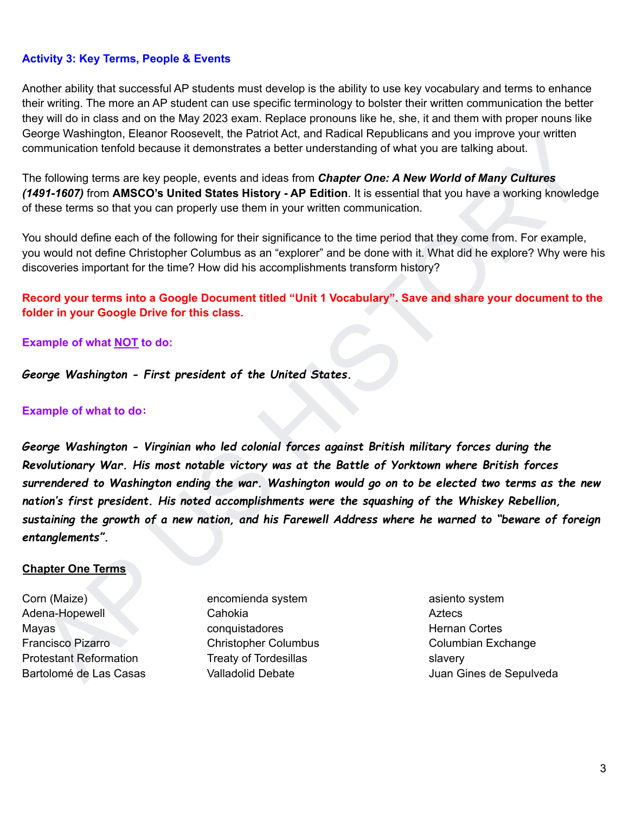#### **Activity 3: Key Terms, People & Events**

Another ability that successful AP students must develop is the ability to use key vocabulary and terms to enhance their writing. The more an AP student can use specific terminology to bolster their written communication the better they will do in class and on the May 2023 exam. Replace pronouns like he, she, it and them with proper nouns like George Washington, Eleanor Roosevelt, the Patriot Act, and Radical Republicans and you improve your written communication tenfold because it demonstrates a better understanding of what you are talking about.

The following terms are key people, events and ideas from *Chapter One: A New World of Many Cultures (1491-1607)* from **AMSCO's United States History - AP Edition**. It is essential that you have a working knowledge of these terms so that you can properly use them in your written communication.

You should define each of the following for their significance to the time period that they come from. For example, you would not define Christopher Columbus as an "explorer" and be done with it. What did he explore? Why were his discoveries important for the time? How did his accomplishments transform history?

Record your terms into a Google Document titled "Unit 1 Vocabulary". Save and share your document to the **folder in your Google Drive for this class.**

#### **Example of what NOT to do:**

*George Washington - First president of the United States.*

#### **Example of what to do:**

tight Westmarton, Eliancer Koosevelet, the Parina Rad, and Radical Hepinitialisms and your unitriene eyers and<br>the following terms are tey people, events and ideas from Chepter One: A New World of Many Cultures<br>by Fridory *George Washington - Virginian who led colonial forces against British military forces during the Revolutionary War. His most notable victory was at the Battle of Yorktown where British forces* surrendered to Washington ending the war. Washington would go on to be elected two terms as the new *nation's first president. His noted accomplishments were the squashing of the Whiskey Rebellion,* sustaining the growth of a new nation, and his Farewell Address where he warned to "beware of foreign *entanglements".*

#### **Chapter One Terms**

Corn (Maize) encomienda system asiento system asiento system Adena-Hopewell Cahokia Cahokia Aztecs Mayas **Conquistadores** Hernan Cortes **Hernan Cortes** Francisco Pizarro **Christopher Columbus** Columbus Columbian Exchange Protestant Reformation Treaty of Tordesillas Slavery

Bartolomé de Las Casas (Valladolid Debate ) van Gines de Sepulveda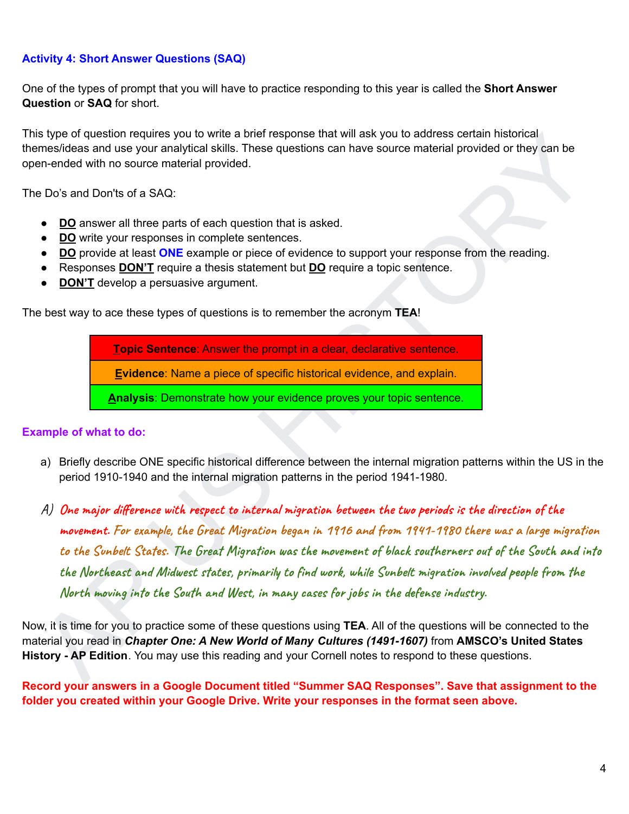#### **Activity 4: Short Answer Questions (SAQ)**

One of the types of prompt that you will have to practice responding to this year is called the **Short Answer Question** or **SAQ** for short.

This type of question requires you to write a brief response that will ask you to address certain historical themes/ideas and use your analytical skills. These questions can have source material provided or they can be open-ended with no source material provided.

The Do's and Don'ts of a SAQ:

- **DO** answer all three parts of each question that is asked.
- **DO** write your responses in complete sentences.
- **DO** provide at least **ONE** example or piece of evidence to support your response from the reading.
- Responses **DON'T** require a thesis statement but **DO** require a topic sentence.
- **DON'T** develop a persuasive argument.

The best way to ace these types of questions is to remember the acronym **TEA**!

**Topic Sentence**: Answer the prompt in a clear, declarative sentence.

**Evidence**: Name a piece of specific historical evidence, and explain.

**Analysis**: Demonstrate how your evidence proves your topic sentence.

#### **Example of what to do:**

- a) Briefly describe ONE specific historical difference between the internal migration patterns within the US in the period 1910-1940 and the internal migration patterns in the period 1941-1980.
- is the origination requires you to winter a brief response that will ask you to address carrain nationcal<br>timesides and use your analytical skills. These questions can have source material provided or they can be<br>the-noded A) One major difference with respect to internal migration between the two periods is the direction of the **movement. For example, the Great Migration began in 1916 and from 1941-1980 there was a large migration** to the Sunbelt States. The Great Migration was the movement of black southerners out of the South and into **the Northeast and Midwest states, primarily to find work, while Sunbelt migration involved people from the North moving into the South and West, in many cases for jobs in the defense industry.**

Now, it is time for you to practice some of these questions using **TEA**. All of the questions will be connected to the material you read in *Chapter One: A New World of Many Cultures (1491-1607)* from **AMSCO's United States History - AP Edition**. You may use this reading and your Cornell notes to respond to these questions.

**Record your answers in a Google Document titled "Summer SAQ Responses". Save that assignment to the folder you created within your Google Drive. Write your responses in the format seen above.**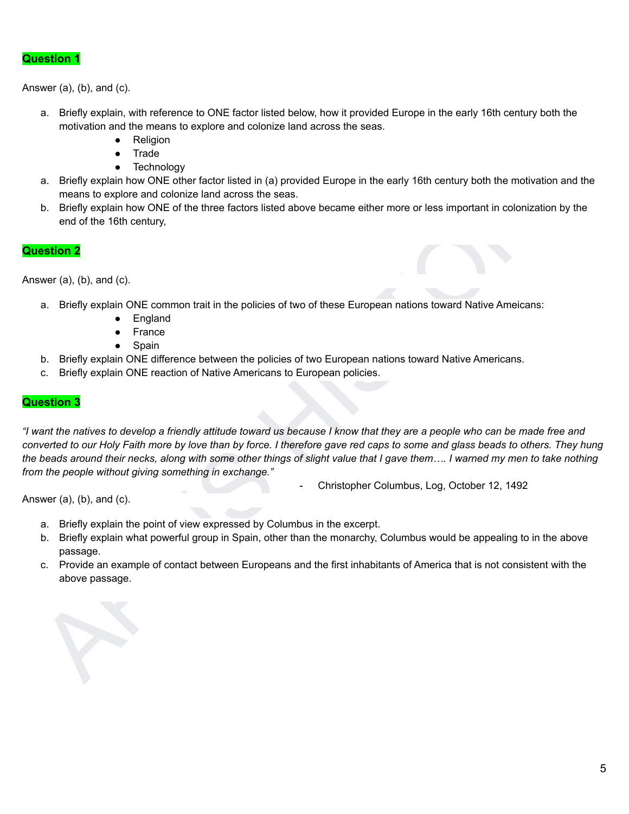

Answer  $(a)$ ,  $(b)$ , and  $(c)$ .

- a. Briefly explain, with reference to ONE factor listed below, how it provided Europe in the early 16th century both the motivation and the means to explore and colonize land across the seas.
	- Religion
	- Trade
	- Technology
- a. Briefly explain how ONE other factor listed in (a) provided Europe in the early 16th century both the motivation and the means to explore and colonize land across the seas.
- b. Briefly explain how ONE of the three factors listed above became either more or less important in colonization by the end of the 16th century,

#### **Question 2**

Answer  $(a)$ ,  $(b)$ , and  $(c)$ .

- a. Briefly explain ONE common trait in the policies of two of these European nations toward Native Ameicans:
	- **England**
	- **France**
	- Spain
- b. Briefly explain ONE difference between the policies of two European nations toward Native Americans.
- c. Briefly explain ONE reaction of Native Americans to European policies.

#### **Question 3**

- Relay<br>
- Trace<br>
- Trace<br>
- Trace<br>
- Trace<br>
- Trace<br>
- Trace<br>
- Trace<br>
- Trace<br>
- Trace<br>
- Trace<br>
- Trace<br>
- Trace<br>
- Trace<br>
- Trace<br>
- Trace<br>
- Trace<br>
- Trace<br>
- Trace<br>
- Trace<br>
- Trace<br>
- Trace<br>
- Trace<br>
- Trace<br>
- Tra "I want the natives to develop a friendly attitude toward us because I know that they are a people who can be made free and converted to our Holy Faith more by love than by force. I therefore gave red caps to some and glass beads to others. They hung the beads around their necks, along with some other things of slight value that I gave them.... I warned my men to take nothing *from the people without giving something in exchange."*

Christopher Columbus, Log, October 12, 1492

Answer  $(a)$ ,  $(b)$ , and  $(c)$ .

- a. Briefly explain the point of view expressed by Columbus in the excerpt.
- b. Briefly explain what powerful group in Spain, other than the monarchy, Columbus would be appealing to in the above passage.
- c. Provide an example of contact between Europeans and the first inhabitants of America that is not consistent with the above passage.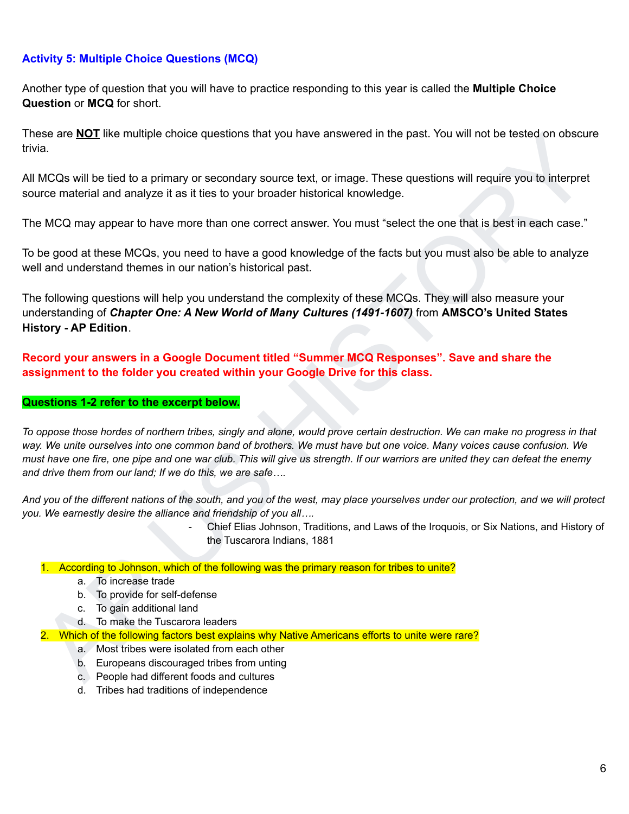## **Activity 5: Multiple Choice Questions (MCQ)**

Another type of question that you will have to practice responding to this year is called the **Multiple Choice Question** or **MCQ** for short.

These are **NOT** like multiple choice questions that you have answered in the past. You will not be tested on obscure trivia.

All MCQs will be tied to a primary or secondary source text, or image. These questions will require you to interpret source material and analyze it as it ties to your broader historical knowledge.

The MCQ may appear to have more than one correct answer. You must "select the one that is best in each case."

To be good at these MCQs, you need to have a good knowledge of the facts but you must also be able to analyze well and understand themes in our nation's historical past.

The following questions will help you understand the complexity of these MCQs. They will also measure your understanding of *Chapter One: A New World of Many Cultures (1491-1607)* from **AMSCO's United States History - AP Edition**.

**Record your answers in a Google Document titled "Summer MCQ Responses". Save and share the assignment to the folder you created within your Google Drive for this class.**

#### **Questions 1-2 refer to the excerpt below.**

ese are <u>NOT</u> the multiple choice questions that you have answered in the past. You will not be tests on obscures<br>
MCQs will be feel to a primary or secondary source levt, or image. These questions will require you to inte To oppose those hordes of northern tribes, singly and alone, would prove certain destruction. We can make no progress in that way. We unite ourselves into one common band of brothers. We must have but one voice. Many voices cause confusion. We must have one fire, one pipe and one war club. This will give us strength. If our warriors are united they can defeat the enemy *and drive them from our land; If we do this, we are safe….*

And you of the different nations of the south, and you of the west, may place yourselves under our protection, and we will protect *you. We earnestly desire the alliance and friendship of you all….*

> - Chief Elias Johnson, Traditions, and Laws of the Iroquois, or Six Nations, and History of the Tuscarora Indians, 1881

#### 1. According to Johnson, which of the following was the primary reason for tribes to unite?

- a. To increase trade
- b. To provide for self-defense
- c. To gain additional land
- d. To make the Tuscarora leaders
- 2. Which of the following factors best explains why Native Americans efforts to unite were rare?
	- a. Most tribes were isolated from each other
	- b. Europeans discouraged tribes from unting
	- c. People had different foods and cultures
	- d. Tribes had traditions of independence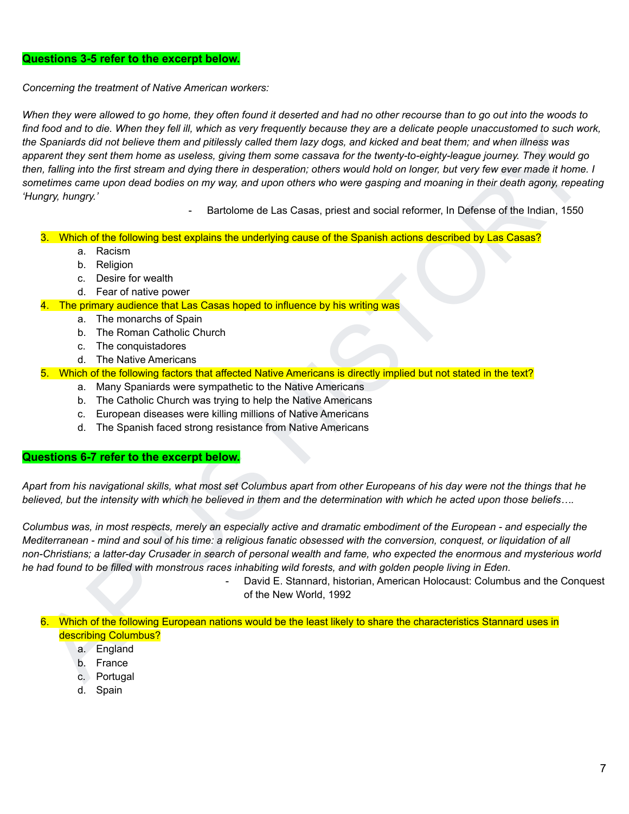*Concerning the treatment of Native American workers:*

Saminate affect of the Microsoftenia and professional particles and a state and particles and and control of the Microsoftenia and professional particles and professional particles and professional particles are also that When they were allowed to go home, they often found it deserted and had no other recourse than to go out into the woods to find food and to die. When they fell ill, which as very frequently because they are a delicate people unaccustomed to such work, the Spaniards did not believe them and pitilessly called them lazy dogs, and kicked and beat them; and when illness was apparent they sent them home as useless, giving them some cassava for the twenty-to-eighty-league journey. They would go then, falling into the first stream and dying there in desperation; others would hold on longer, but very few ever made it home. I sometimes came upon dead bodies on my way, and upon others who were gasping and moaning in their death agony, repeating *'Hungry, hungry.'*

Bartolome de Las Casas, priest and social reformer, In Defense of the Indian, 1550

- 3. Which of the following best explains the underlying cause of the Spanish actions described by Las Casas?
	- a. Racism
	- b. Religion
	- c. Desire for wealth
	- d. Fear of native power
- 4. The primary audience that Las Casas hoped to influence by his writing was
	- a. The monarchs of Spain
	- b. The Roman Catholic Church
	- c. The conquistadores
	- d. The Native Americans
- 5. Which of the following factors that affected Native Americans is directly implied but not stated in the text?
	- a. Many Spaniards were sympathetic to the Native Americans
	- b. The Catholic Church was trying to help the Native Americans
	- c. European diseases were killing millions of Native Americans
	- d. The Spanish faced strong resistance from Native Americans

## **Questions 6-7 refer to the excerpt below.**

Apart from his navigational skills, what most set Columbus apart from other Europeans of his day were not the things that he believed, but the intensity with which he believed in them and the determination with which he acted upon those beliefs....

Columbus was, in most respects, merely an especially active and dramatic embodiment of the European - and especially the Mediterranean - mind and soul of his time: a religious fanatic obsessed with the conversion, conquest, or liquidation of all non-Christians; a latter-day Crusader in search of personal wealth and fame, who expected the enormous and mysterious world he had found to be filled with monstrous races inhabiting wild forests, and with golden people living in Eden.

- David E. Stannard, historian, American Holocaust: Columbus and the Conquest of the New World, 1992
- 6. Which of the following European nations would be the least likely to share the characteristics Stannard uses in describing Columbus?
	- a. England
	- b. France
	- c. Portugal
	- d. Spain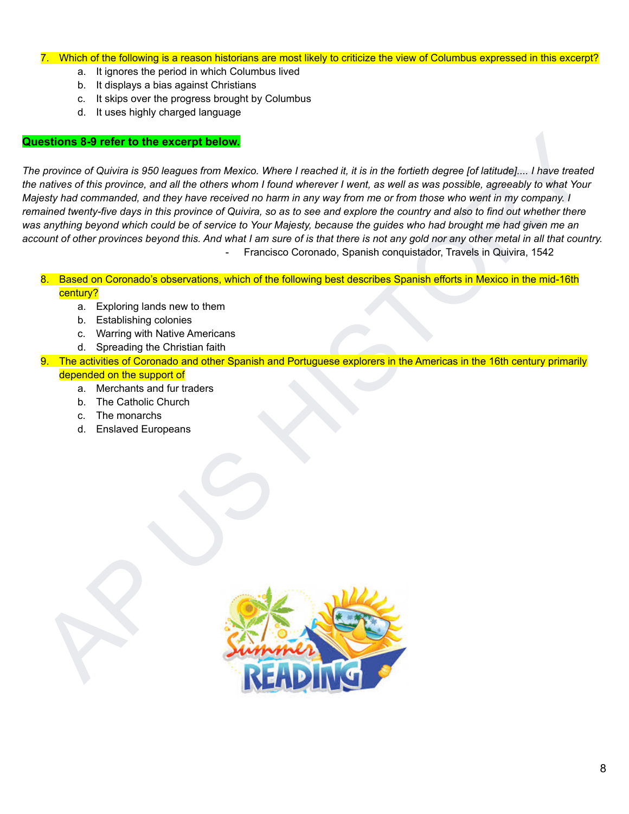#### 7. Which of the following is a reason historians are most likely to criticize the view of Columbus expressed in this excerpt?

- a. It ignores the period in which Columbus lived
- b. It displays a bias against Christians
- c. It skips over the progress brought by Columbus
- d. It uses highly charged language

#### **Questions 8-9 refer to the excerpt below.**

**Examples and Coloration Second between the text of the second state is an above to the control of the second state of the second state of the second state of the second control of the second state of the second state of t** The province of Quivira is 950 leagues from Mexico. Where I reached it, it is in the fortieth degree [of latitude].... I have treated the natives of this province, and all the others whom I found wherever I went, as well as was possible, agreeably to what Your Majesty had commanded, and they have received no harm in any way from me or from those who went in my company. I remained twenty-five days in this province of Quivira, so as to see and explore the country and also to find out whether there was anything beyond which could be of service to Your Majesty, because the guides who had brought me had given me an account of other provinces beyond this. And what I am sure of is that there is not any gold nor any other metal in all that country. - Francisco Coronado, Spanish conquistador, Travels in Quivira, 1542

#### 8. Based on Coronado's observations, which of the following best describes Spanish efforts in Mexico in the mid-16th century?

- a. Exploring lands new to them
- b. Establishing colonies
- c. Warring with Native Americans
- d. Spreading the Christian faith
- 9. The activities of Coronado and other Spanish and Portuguese explorers in the Americas in the 16th century primarily depended on the support of
	- a. Merchants and fur traders
	- b. The Catholic Church
	- c. The monarchs
	- d. Enslaved Europeans

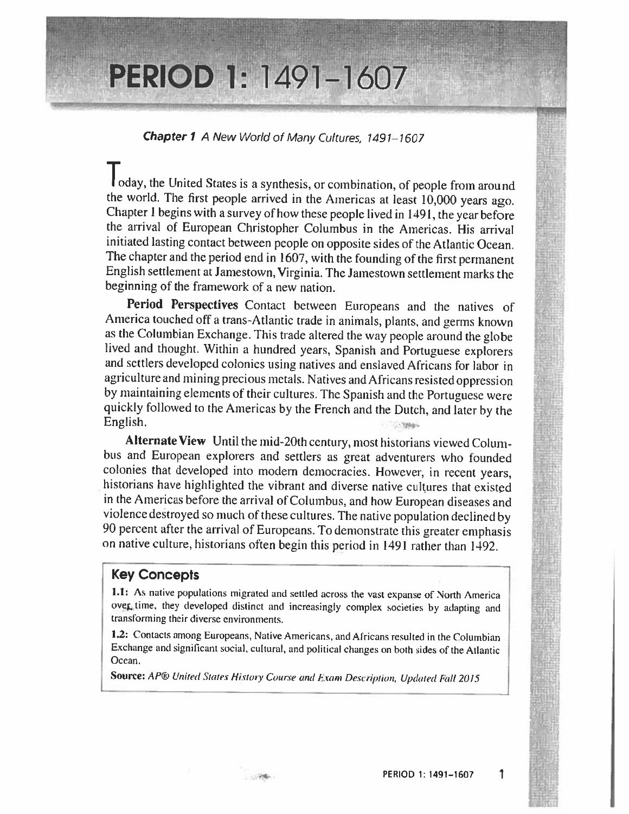# **PERIOD 1: 1491-1607**

## Chapter 1 A New World of Many Cultures, 1491-1607

loday, the United States is a synthesis, or combination, of people from around the world. The first people arrived in the Americas at least 10,000 years ago. Chapter 1 begins with a survey of how these people lived in 1491, the year before the arrival of European Christopher Columbus in the Americas. His arrival initiated lasting contact between people on opposite sides of the Atlantic Ocean. The chapter and the period end in 1607, with the founding of the first permanent English settlement at Jamestown, Virginia. The Jamestown settlement marks the beginning of the framework of a new nation.

Period Perspectives Contact between Europeans and the natives of America touched off a trans-Atlantic trade in animals, plants, and germs known as the Columbian Exchange. This trade altered the way people around the globe lived and thought. Within a hundred years, Spanish and Portuguese explorers and settlers developed colonies using natives and enslaved Africans for labor in agriculture and mining precious metals. Natives and Africans resisted oppression by maintaining elements of their cultures. The Spanish and the Portuguese were quickly followed to the Americas by the French and the Dutch, and later by the English.

Alternate View Until the mid-20th century, most historians viewed Columbus and European explorers and settlers as great adventurers who founded colonies that developed into modern democracies. However, in recent years, historians have highlighted the vibrant and diverse native cultures that existed in the Americas before the arrival of Columbus, and how European diseases and violence destroyed so much of these cultures. The native population declined by 90 percent after the arrival of Europeans. To demonstrate this greater emphasis on native culture, historians often begin this period in 1491 rather than 1492.

## **Key Concepts**

1.1: As native populations migrated and settled across the vast expanse of North America over time, they developed distinct and increasingly complex societies by adapting and transforming their diverse environments.

1.2: Contacts among Europeans, Native Americans, and Africans resulted in the Columbian Exchange and significant social, cultural, and political changes on both sides of the Atlantic Ocean.

Source: AP® United States History Course and Exam Description, Updated Fall 2015

三倍配

1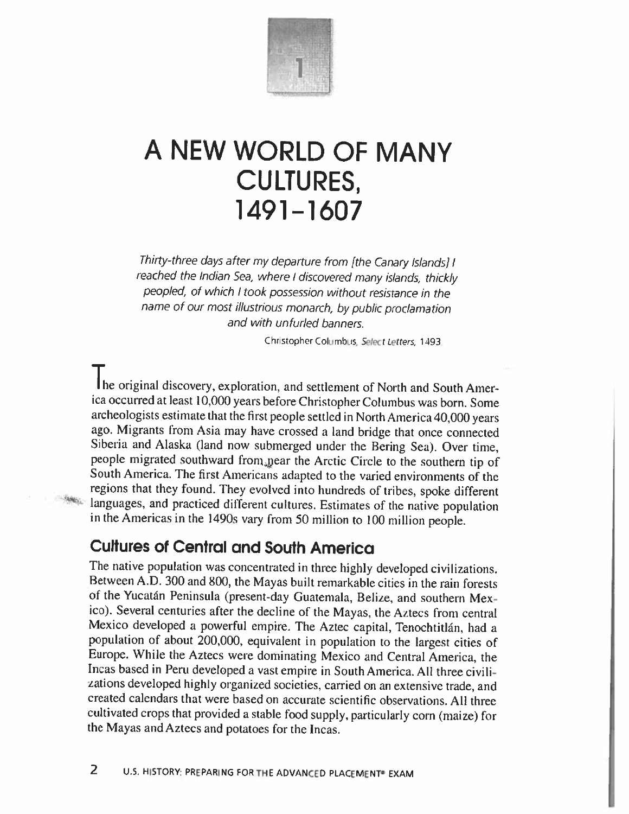

## A NEW WORLD OF MANY **CULTURES,** 1491-1607

Thirty-three days after my departure from [the Canary Islands] I reached the Indian Sea, where I discovered many islands, thickly peopled, of which I took possession without resistance in the name of our most illustrious monarch, by public proclamation and with unfurled banners.

Christopher Columbus, Select Letters, 1493.

he original discovery, exploration, and settlement of North and South America occurred at least 10,000 years before Christopher Columbus was born. Some archeologists estimate that the first people settled in North America 40,000 years ago. Migrants from Asia may have crossed a land bridge that once connected Siberia and Alaska (land now submerged under the Bering Sea). Over time, people migrated southward from near the Arctic Circle to the southern tip of South America. The first Americans adapted to the varied environments of the regions that they found. They evolved into hundreds of tribes, spoke different languages, and practiced different cultures. Estimates of the native population in the Americas in the 1490s vary from 50 million to 100 million people.

## **Cultures of Central and South America**

The native population was concentrated in three highly developed civilizations. Between A.D. 300 and 800, the Mayas built remarkable cities in the rain forests of the Yucatán Peninsula (present-day Guatemala, Belize, and southern Mexico). Several centuries after the decline of the Mayas, the Aztecs from central Mexico developed a powerful empire. The Aztec capital, Tenochtitlán, had a population of about 200,000, equivalent in population to the largest cities of Europe. While the Aztecs were dominating Mexico and Central America, the Incas based in Peru developed a vast empire in South America. All three civilizations developed highly organized societies, carried on an extensive trade, and created calendars that were based on accurate scientific observations. All three cultivated crops that provided a stable food supply, particularly corn (maize) for the Mayas and Aztecs and potatoes for the Incas.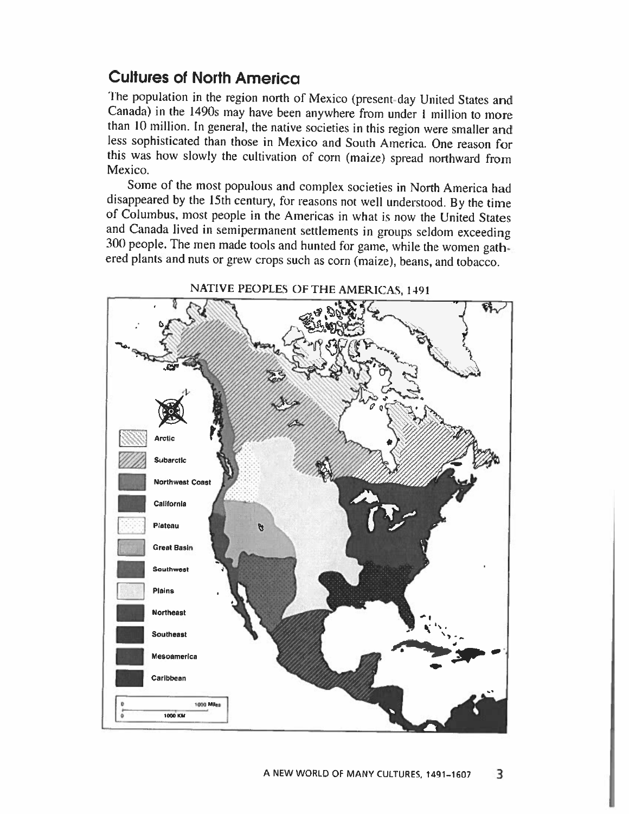## **Cultures of North America**

The population in the region north of Mexico (present-day United States and Canada) in the 1490s may have been anywhere from under 1 million to more than 10 million. In general, the native societies in this region were smaller and less sophisticated than those in Mexico and South America. One reason for this was how slowly the cultivation of corn (maize) spread northward from Mexico.

Some of the most populous and complex societies in North America had disappeared by the 15th century, for reasons not well understood. By the time of Columbus, most people in the Americas in what is now the United States and Canada lived in semipermanent settlements in groups seldom exceeding 300 people. The men made tools and hunted for game, while the women gathered plants and nuts or grew crops such as corn (maize), beans, and tobacco.

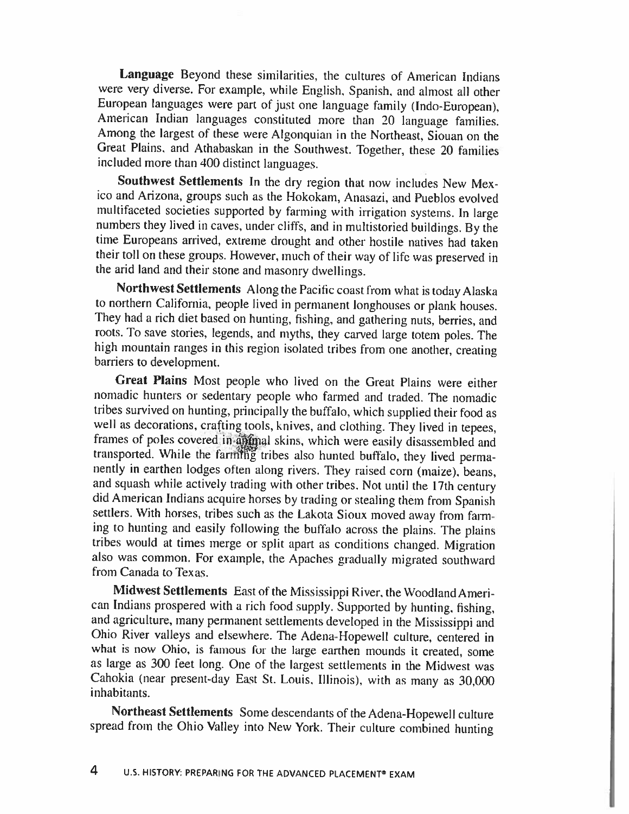Language Beyond these similarities, the cultures of American Indians were very diverse. For example, while English, Spanish, and almost all other European languages were part of just one language family (Indo-European), American Indian languages constituted more than 20 language families. Among the largest of these were Algonquian in the Northeast, Siouan on the Great Plains, and Athabaskan in the Southwest. Together, these 20 families included more than 400 distinct languages.

Southwest Settlements In the dry region that now includes New Mexico and Arizona, groups such as the Hokokam, Anasazi, and Pueblos evolved multifaceted societies supported by farming with irrigation systems. In large numbers they lived in caves, under cliffs, and in multistoried buildings. By the time Europeans arrived, extreme drought and other hostile natives had taken their toll on these groups. However, much of their way of life was preserved in the arid land and their stone and masonry dwellings.

Northwest Settlements Along the Pacific coast from what is today Alaska to northern California, people lived in permanent longhouses or plank houses. They had a rich diet based on hunting, fishing, and gathering nuts, berries, and roots. To save stories, legends, and myths, they carved large totem poles. The high mountain ranges in this region isolated tribes from one another, creating barriers to development.

Great Plains Most people who lived on the Great Plains were either nomadic hunters or sedentary people who farmed and traded. The nomadic tribes survived on hunting, principally the buffalo, which supplied their food as well as decorations, crafting tools, knives, and clothing. They lived in tepees, frames of poles covered in animal skins, which were easily disassembled and transported. While the farming tribes also hunted buffalo, they lived permanently in earthen lodges often along rivers. They raised corn (maize), beans, and squash while actively trading with other tribes. Not until the 17th century did American Indians acquire horses by trading or stealing them from Spanish settlers. With horses, tribes such as the Lakota Sioux moved away from farming to hunting and easily following the buffalo across the plains. The plains tribes would at times merge or split apart as conditions changed. Migration also was common. For example, the Apaches gradually migrated southward from Canada to Texas.

Midwest Settlements East of the Mississippi River, the Woodland American Indians prospered with a rich food supply. Supported by hunting, fishing, and agriculture, many permanent settlements developed in the Mississippi and Ohio River valleys and elsewhere. The Adena-Hopewell culture, centered in what is now Ohio, is famous for the large earthen mounds it created, some as large as 300 feet long. One of the largest settlements in the Midwest was Cahokia (near present-day East St. Louis, Illinois), with as many as 30,000 inhabitants.

Northeast Settlements Some descendants of the Adena-Hopewell culture spread from the Ohio Valley into New York. Their culture combined hunting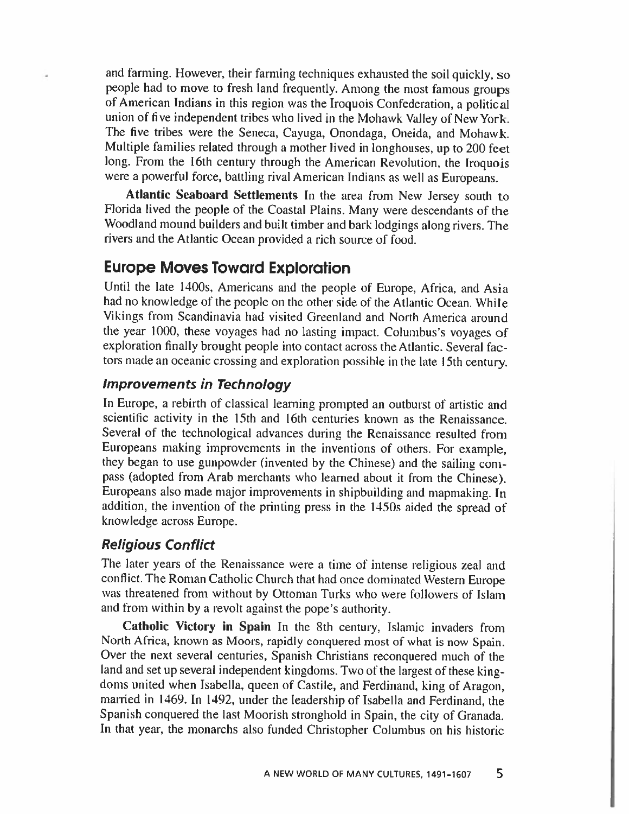and farming. However, their farming techniques exhausted the soil quickly, so people had to move to fresh land frequently. Among the most famous groups of American Indians in this region was the Iroquois Confederation, a political union of five independent tribes who lived in the Mohawk Valley of New York. The five tribes were the Seneca, Cayuga, Onondaga, Oneida, and Mohawk. Multiple families related through a mother lived in longhouses, up to 200 feet long. From the 16th century through the American Revolution, the Iroquois were a powerful force, battling rival American Indians as well as Europeans.

**Atlantic Seaboard Settlements** In the area from New Jersey south to Florida lived the people of the Coastal Plains. Many were descendants of the Woodland mound builders and built timber and bark lodgings along rivers. The rivers and the Atlantic Ocean provided a rich source of food.

## **Europe Moves Toward Exploration**

Until the late 1400s, Americans and the people of Europe, Africa, and Asia had no knowledge of the people on the other side of the Atlantic Ocean. While Vikings from Scandinavia had visited Greenland and North America around the year 1000, these voyages had no lasting impact. Columbus's voyages of exploration finally brought people into contact across the Atlantic. Several factors made an oceanic crossing and exploration possible in the late 15th century.

## **Improvements in Technology**

In Europe, a rebirth of classical learning prompted an outburst of artistic and scientific activity in the 15th and 16th centuries known as the Renaissance. Several of the technological advances during the Renaissance resulted from Europeans making improvements in the inventions of others. For example, they began to use gunpowder (invented by the Chinese) and the sailing compass (adopted from Arab merchants who learned about it from the Chinese). Europeans also made major improvements in shipbuilding and mapmaking. In addition, the invention of the printing press in the 1450s aided the spread of knowledge across Europe.

## **Religious Conflict**

The later years of the Renaissance were a time of intense religious zeal and conflict. The Roman Catholic Church that had once dominated Western Europe was threatened from without by Ottoman Turks who were followers of Islam and from within by a revolt against the pope's authority.

Catholic Victory in Spain In the 8th century, Islamic invaders from North Africa, known as Moors, rapidly conquered most of what is now Spain. Over the next several centuries, Spanish Christians reconquered much of the land and set up several independent kingdoms. Two of the largest of these kingdoms united when Isabella, queen of Castile, and Ferdinand, king of Aragon, married in 1469. In 1492, under the leadership of Isabella and Ferdinand, the Spanish conquered the last Moorish stronghold in Spain, the city of Granada. In that year, the monarchs also funded Christopher Columbus on his historic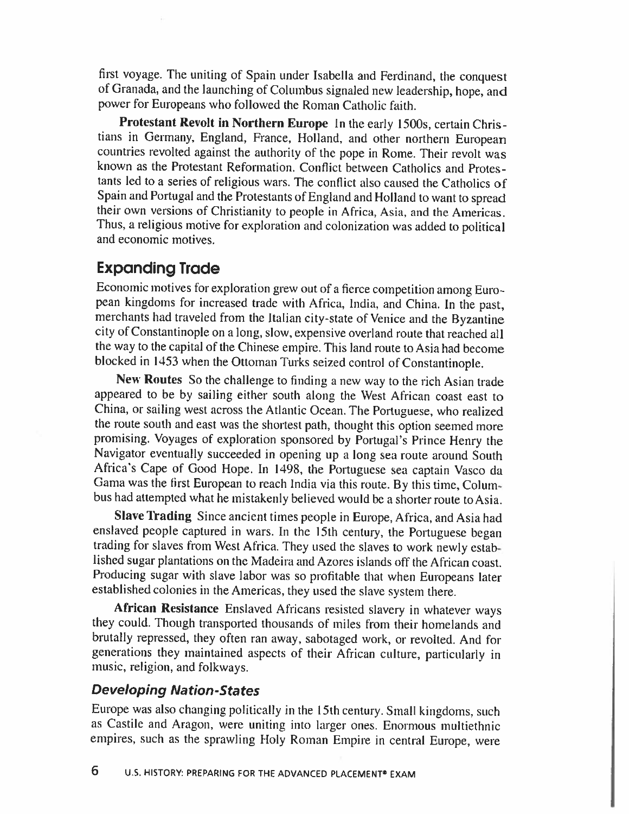first voyage. The uniting of Spain under Isabella and Ferdinand, the conquest of Granada, and the launching of Columbus signaled new leadership, hope, and power for Europeans who followed the Roman Catholic faith.

**Protestant Revolt in Northern Europe** In the early 1500s, certain Christians in Germany, England, France, Holland, and other northern European countries revolted against the authority of the pope in Rome. Their revolt was known as the Protestant Reformation. Conflict between Catholics and Protestants led to a series of religious wars. The conflict also caused the Catholics of Spain and Portugal and the Protestants of England and Holland to want to spread their own versions of Christianity to people in Africa, Asia, and the Americas. Thus, a religious motive for exploration and colonization was added to political and economic motives.

## **Expanding Trade**

Economic motives for exploration grew out of a fierce competition among European kingdoms for increased trade with Africa, India, and China. In the past, merchants had traveled from the Italian city-state of Venice and the Byzantine city of Constantinople on a long, slow, expensive overland route that reached all the way to the capital of the Chinese empire. This land route to Asia had become blocked in 1453 when the Ottoman Turks seized control of Constantinople.

New Routes So the challenge to finding a new way to the rich Asian trade appeared to be by sailing either south along the West African coast east to China, or sailing west across the Atlantic Ocean. The Portuguese, who realized the route south and east was the shortest path, thought this option seemed more promising. Voyages of exploration sponsored by Portugal's Prince Henry the Navigator eventually succeeded in opening up a long sea route around South Africa's Cape of Good Hope. In 1498, the Portuguese sea captain Vasco da Gama was the first European to reach India via this route. By this time, Columbus had attempted what he mistakenly believed would be a shorter route to Asia.

Slave Trading Since ancient times people in Europe, Africa, and Asia had enslaved people captured in wars. In the 15th century, the Portuguese began trading for slaves from West Africa. They used the slaves to work newly established sugar plantations on the Madeira and Azores islands off the African coast. Producing sugar with slave labor was so profitable that when Europeans later established colonies in the Americas, they used the slave system there.

African Resistance Enslaved Africans resisted slavery in whatever ways they could. Though transported thousands of miles from their homelands and brutally repressed, they often ran away, sabotaged work, or revolted. And for generations they maintained aspects of their African culture, particularly in music, religion, and folkways.

## **Developing Nation-States**

Europe was also changing politically in the 15th century. Small kingdoms, such as Castile and Aragon, were uniting into larger ones. Enormous multiethnic empires, such as the sprawling Holy Roman Empire in central Europe, were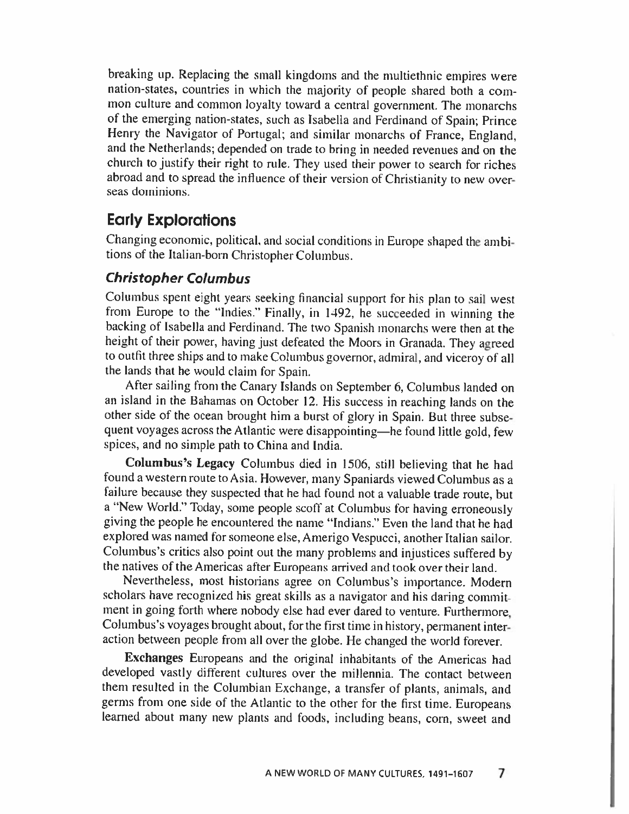breaking up. Replacing the small kingdoms and the multiethnic empires were nation-states, countries in which the majority of people shared both a common culture and common loyalty toward a central government. The monarchs of the emerging nation-states, such as Isabella and Ferdinand of Spain; Prince Henry the Navigator of Portugal; and similar monarchs of France, England, and the Netherlands; depended on trade to bring in needed revenues and on the church to justify their right to rule. They used their power to search for riches abroad and to spread the influence of their version of Christianity to new overseas dominions.

## **Early Explorations**

Changing economic, political, and social conditions in Europe shaped the ambitions of the Italian-born Christopher Columbus.

## **Christopher Columbus**

Columbus spent eight years seeking financial support for his plan to sail west from Europe to the "Indies." Finally, in 1492, he succeeded in winning the backing of Isabella and Ferdinand. The two Spanish monarchs were then at the height of their power, having just defeated the Moors in Granada. They agreed to outfit three ships and to make Columbus governor, admiral, and viceroy of all the lands that he would claim for Spain.

After sailing from the Canary Islands on September 6, Columbus landed on an island in the Bahamas on October 12. His success in reaching lands on the other side of the ocean brought him a burst of glory in Spain. But three subsequent voyages across the Atlantic were disappointing-he found little gold, few spices, and no simple path to China and India.

**Columbus's Legacy** Columbus died in 1506, still believing that he had found a western route to Asia. However, many Spaniards viewed Columbus as a failure because they suspected that he had found not a valuable trade route, but a "New World." Today, some people scoff at Columbus for having erroneously giving the people he encountered the name "Indians." Even the land that he had explored was named for someone else, Amerigo Vespucci, another Italian sailor. Columbus's critics also point out the many problems and injustices suffered by the natives of the Americas after Europeans arrived and took over their land.

Nevertheless, most historians agree on Columbus's importance. Modern scholars have recognized his great skills as a navigator and his daring commitment in going forth where nobody else had ever dared to venture. Furthermore, Columbus's voyages brought about, for the first time in history, permanent interaction between people from all over the globe. He changed the world forever.

Exchanges Europeans and the original inhabitants of the Americas had developed vastly different cultures over the millennia. The contact between them resulted in the Columbian Exchange, a transfer of plants, animals, and germs from one side of the Atlantic to the other for the first time. Europeans learned about many new plants and foods, including beans, corn, sweet and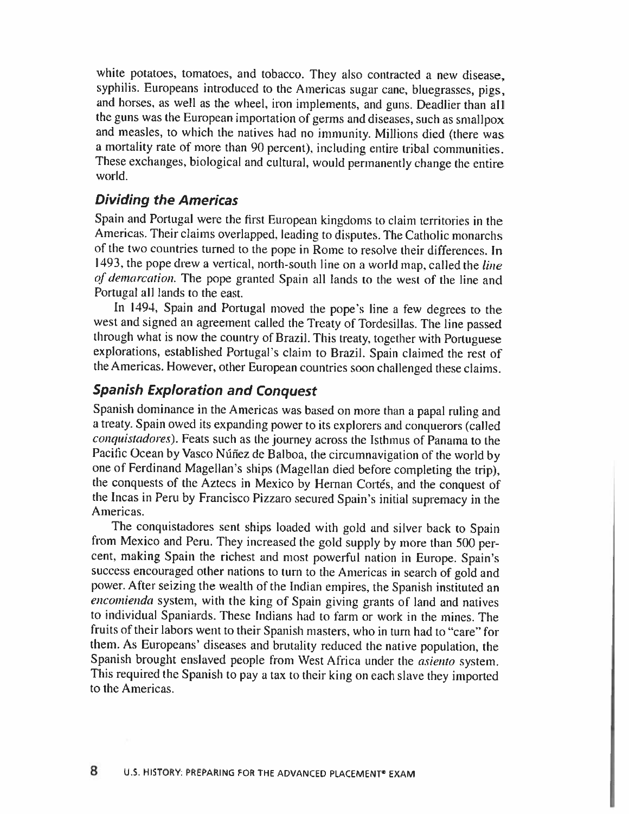white potatoes, tomatoes, and tobacco. They also contracted a new disease. syphilis. Europeans introduced to the Americas sugar cane, bluegrasses, pigs, and horses, as well as the wheel, iron implements, and guns. Deadlier than all the guns was the European importation of germs and diseases, such as smallpox and measles, to which the natives had no immunity. Millions died (there was a mortality rate of more than 90 percent), including entire tribal communities. These exchanges, biological and cultural, would permanently change the entire world.

## **Dividing the Americas**

Spain and Portugal were the first European kingdoms to claim territories in the Americas. Their claims overlapped, leading to disputes. The Catholic monarchs of the two countries turned to the pope in Rome to resolve their differences. In 1493, the pope drew a vertical, north-south line on a world map, called the *line* of demarcation. The pope granted Spain all lands to the west of the line and Portugal all lands to the east.

In 1494, Spain and Portugal moved the pope's line a few degrees to the west and signed an agreement called the Treaty of Tordesillas. The line passed through what is now the country of Brazil. This treaty, together with Portuguese explorations, established Portugal's claim to Brazil. Spain claimed the rest of the Americas. However, other European countries soon challenged these claims.

## **Spanish Exploration and Conquest**

Spanish dominance in the Americas was based on more than a papal ruling and a treaty. Spain owed its expanding power to its explorers and conquerors (called conquistadores). Feats such as the journey across the Isthmus of Panama to the Pacific Ocean by Vasco Núñez de Balboa, the circumnavigation of the world by one of Ferdinand Magellan's ships (Magellan died before completing the trip), the conquests of the Aztecs in Mexico by Hernan Cortés, and the conquest of the Incas in Peru by Francisco Pizzaro secured Spain's initial supremacy in the Americas.

The conquistadores sent ships loaded with gold and silver back to Spain from Mexico and Peru. They increased the gold supply by more than 500 percent, making Spain the richest and most powerful nation in Europe. Spain's success encouraged other nations to turn to the Americas in search of gold and power. After seizing the wealth of the Indian empires, the Spanish instituted an encomienda system, with the king of Spain giving grants of land and natives to individual Spaniards. These Indians had to farm or work in the mines. The fruits of their labors went to their Spanish masters, who in turn had to "care" for them. As Europeans' diseases and brutality reduced the native population, the Spanish brought enslaved people from West Africa under the asiento system. This required the Spanish to pay a tax to their king on each slave they imported to the Americas.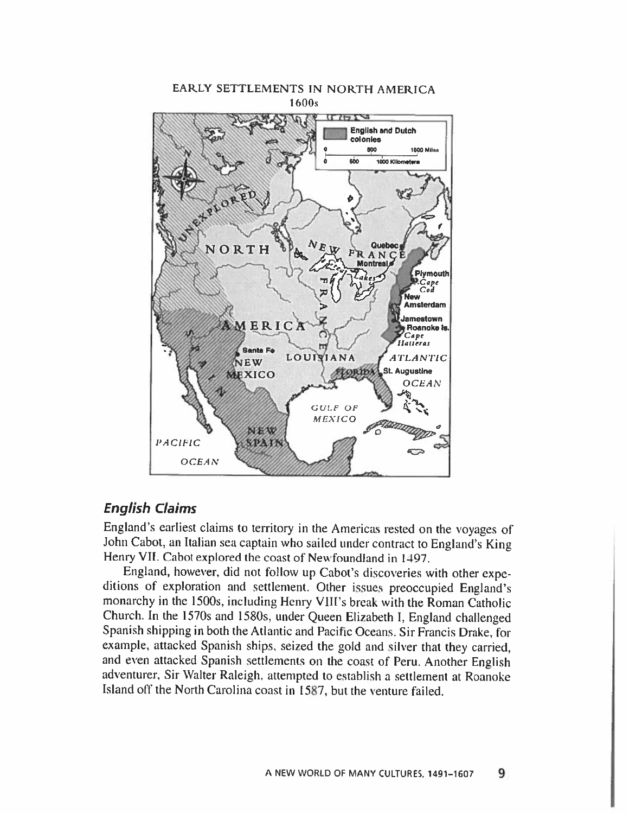

EARLY SETTLEMENTS IN NORTH AMERICA

## **English Claims**

England's earliest claims to territory in the Americas rested on the voyages of John Cabot, an Italian sea captain who sailed under contract to England's King Henry VII. Cabot explored the coast of Newfoundland in 1497.

England, however, did not follow up Cabot's discoveries with other expeditions of exploration and settlement. Other issues preoccupied England's monarchy in the 1500s, including Henry VIII's break with the Roman Catholic Church. In the 1570s and 1580s, under Queen Elizabeth I, England challenged Spanish shipping in both the Atlantic and Pacific Oceans. Sir Francis Drake, for example, attacked Spanish ships, seized the gold and silver that they carried, and even attacked Spanish settlements on the coast of Peru. Another English adventurer, Sir Walter Raleigh, attempted to establish a settlement at Roanoke Island off the North Carolina coast in 1587, but the venture failed.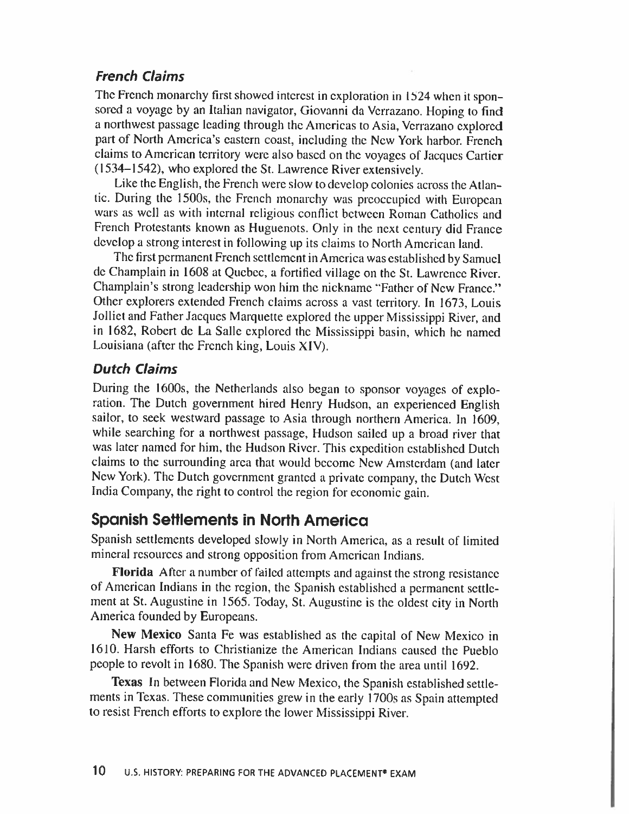## **French Claims**

The French monarchy first showed interest in exploration in 1524 when it sponsored a voyage by an Italian navigator, Giovanni da Verrazano. Hoping to find a northwest passage leading through the Americas to Asia, Verrazano explored part of North America's eastern coast, including the New York harbor. French claims to American territory were also based on the voyages of Jacques Cartier (1534–1542), who explored the St. Lawrence River extensively.

Like the English, the French were slow to develop colonies across the Atlantic. During the 1500s, the French monarchy was preoccupied with European wars as well as with internal religious conflict between Roman Catholics and French Protestants known as Huguenots. Only in the next century did France develop a strong interest in following up its claims to North American land.

The first permanent French settlement in America was established by Samuel de Champlain in 1608 at Quebec, a fortified village on the St. Lawrence River. Champlain's strong leadership won him the nickname "Father of New France." Other explorers extended French claims across a vast territory. In 1673, Louis Jolliet and Father Jacques Marquette explored the upper Mississippi River, and in 1682, Robert de La Salle explored the Mississippi basin, which he named Louisiana (after the French king, Louis XIV).

## **Dutch Claims**

During the 1600s, the Netherlands also began to sponsor voyages of exploration. The Dutch government hired Henry Hudson, an experienced English sailor, to seek westward passage to Asia through northern America. In 1609, while searching for a northwest passage, Hudson sailed up a broad river that was later named for him, the Hudson River. This expedition established Dutch claims to the surrounding area that would become New Amsterdam (and later New York). The Dutch government granted a private company, the Dutch West India Company, the right to control the region for economic gain.

## **Spanish Settlements in North America**

Spanish settlements developed slowly in North America, as a result of limited mineral resources and strong opposition from American Indians.

**Florida** After a number of failed attempts and against the strong resistance of American Indians in the region, the Spanish established a permanent settlement at St. Augustine in 1565. Today, St. Augustine is the oldest city in North America founded by Europeans.

New Mexico Santa Fe was established as the capital of New Mexico in 1610. Harsh efforts to Christianize the American Indians caused the Pueblo people to revolt in 1680. The Spanish were driven from the area until 1692.

Texas In between Florida and New Mexico, the Spanish established settlements in Texas. These communities grew in the early 1700s as Spain attempted to resist French efforts to explore the lower Mississippi River.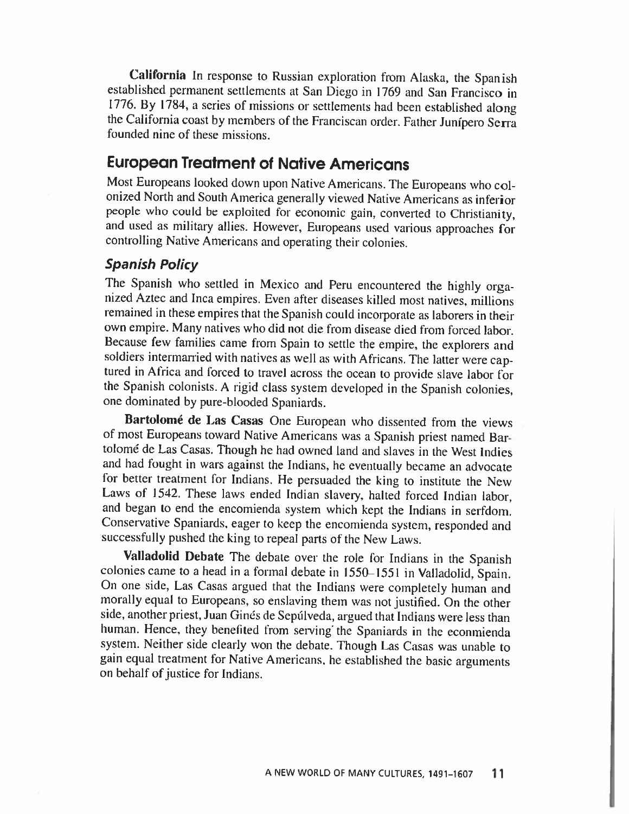California In response to Russian exploration from Alaska, the Spanish established permanent settlements at San Diego in 1769 and San Francisco in 1776. By 1784, a series of missions or settlements had been established along the California coast by members of the Franciscan order. Father Junípero Serra founded nine of these missions.

## **European Treatment of Native Americans**

Most Europeans looked down upon Native Americans. The Europeans who colonized North and South America generally viewed Native Americans as inferior people who could be exploited for economic gain, converted to Christianity, and used as military allies. However, Europeans used various approaches for controlling Native Americans and operating their colonies.

## **Spanish Policy**

The Spanish who settled in Mexico and Peru encountered the highly organized Aztec and Inca empires. Even after diseases killed most natives, millions remained in these empires that the Spanish could incorporate as laborers in their own empire. Many natives who did not die from disease died from forced labor. Because few families came from Spain to settle the empire, the explorers and soldiers intermarried with natives as well as with Africans. The latter were captured in Africa and forced to travel across the ocean to provide slave labor for the Spanish colonists. A rigid class system developed in the Spanish colonies, one dominated by pure-blooded Spaniards.

Bartolomé de Las Casas One European who dissented from the views of most Europeans toward Native Americans was a Spanish priest named Bartolomé de Las Casas. Though he had owned land and slaves in the West Indies and had fought in wars against the Indians, he eventually became an advocate for better treatment for Indians. He persuaded the king to institute the New Laws of 1542. These laws ended Indian slavery, halted forced Indian labor, and began to end the encomienda system which kept the Indians in serfdom. Conservative Spaniards, eager to keep the encomienda system, responded and successfully pushed the king to repeal parts of the New Laws.

Valladolid Debate The debate over the role for Indians in the Spanish colonies came to a head in a formal debate in 1550-1551 in Valladolid, Spain. On one side, Las Casas argued that the Indians were completely human and morally equal to Europeans, so enslaving them was not justified. On the other side, another priest, Juan Ginés de Sepúlveda, argued that Indians were less than human. Hence, they benefited from serving the Spaniards in the econmienda system. Neither side clearly won the debate. Though Las Casas was unable to gain equal treatment for Native Americans, he established the basic arguments on behalf of justice for Indians.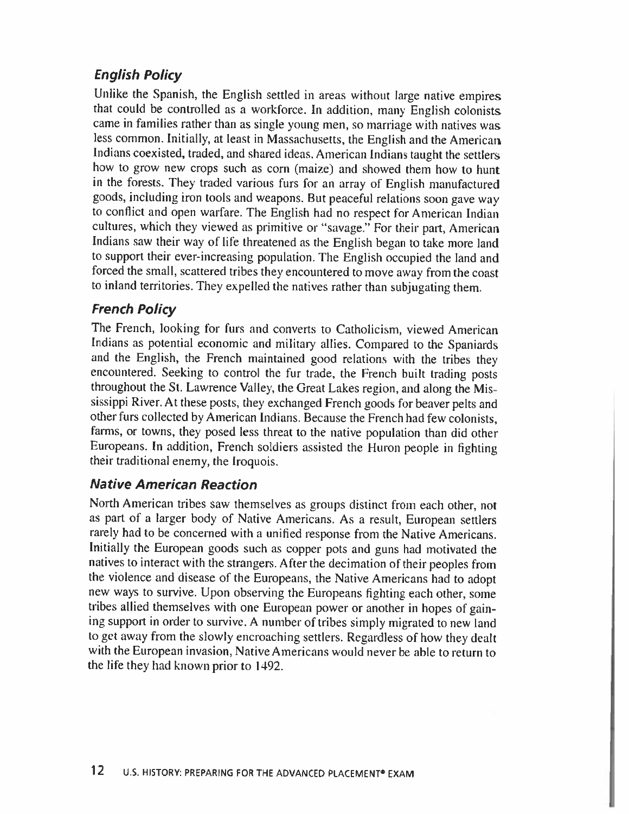## **English Policy**

Unlike the Spanish, the English settled in areas without large native empires that could be controlled as a workforce. In addition, many English colonists came in families rather than as single young men, so marriage with natives was less common. Initially, at least in Massachusetts, the English and the American Indians coexisted, traded, and shared ideas. American Indians taught the settlers how to grow new crops such as corn (maize) and showed them how to hunt in the forests. They traded various furs for an array of English manufactured goods, including iron tools and weapons. But peaceful relations soon gave way to conflict and open warfare. The English had no respect for American Indian cultures, which they viewed as primitive or "savage." For their part, American Indians saw their way of life threatened as the English began to take more land to support their ever-increasing population. The English occupied the land and forced the small, scattered tribes they encountered to move away from the coast to inland territories. They expelled the natives rather than subjugating them.

## **French Policy**

The French, looking for furs and converts to Catholicism, viewed American Indians as potential economic and military allies. Compared to the Spaniards and the English, the French maintained good relations with the tribes they encountered. Seeking to control the fur trade, the French built trading posts throughout the St. Lawrence Valley, the Great Lakes region, and along the Mississippi River. At these posts, they exchanged French goods for beaver pelts and other furs collected by American Indians. Because the French had few colonists, farms, or towns, they posed less threat to the native population than did other Europeans. In addition, French soldiers assisted the Huron people in fighting their traditional enemy, the Iroquois.

## **Native American Reaction**

North American tribes saw themselves as groups distinct from each other, not as part of a larger body of Native Americans. As a result, European settlers rarely had to be concerned with a unified response from the Native Americans. Initially the European goods such as copper pots and guns had motivated the natives to interact with the strangers. After the decimation of their peoples from the violence and disease of the Europeans, the Native Americans had to adopt new ways to survive. Upon observing the Europeans fighting each other, some tribes allied themselves with one European power or another in hopes of gaining support in order to survive. A number of tribes simply migrated to new land to get away from the slowly encroaching settlers. Regardless of how they dealt with the European invasion, Native Americans would never be able to return to the life they had known prior to 1492.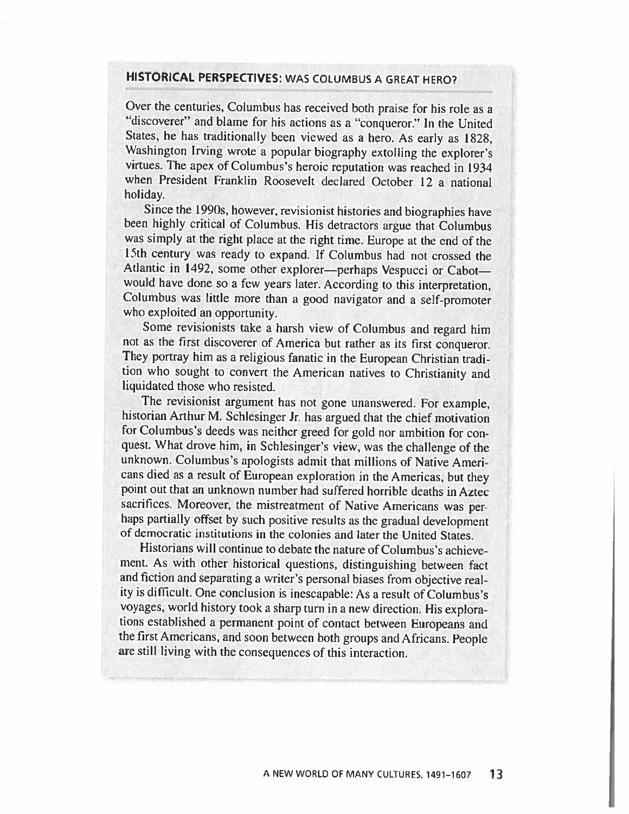## **HISTORICAL PERSPECTIVES: WAS COLUMBUS A GREAT HERO?**

Over the centuries, Columbus has received both praise for his role as a "discoverer" and blame for his actions as a "conqueror." In the United States, he has traditionally been viewed as a hero. As early as 1828, Washington Irving wrote a popular biography extolling the explorer's virtues. The apex of Columbus's heroic reputation was reached in 1934 when President Franklin Roosevelt declared October 12 a national holiday.

Since the 1990s, however, revisionist histories and biographies have been highly critical of Columbus. His detractors argue that Columbus was simply at the right place at the right time. Europe at the end of the 15th century was ready to expand. If Columbus had not crossed the Atlantic in 1492, some other explorer—perhaps Vespucci or Cabot would have done so a few years later. According to this interpretation, Columbus was little more than a good navigator and a self-promoter who exploited an opportunity.

Some revisionists take a harsh view of Columbus and regard him not as the first discoverer of America but rather as its first conqueror. They portray him as a religious fanatic in the European Christian tradition who sought to convert the American natives to Christianity and liquidated those who resisted.

The revisionist argument has not gone unanswered. For example, historian Arthur M. Schlesinger Jr. has argued that the chief motivation for Columbus's deeds was neither greed for gold nor ambition for conquest. What drove him, in Schlesinger's view, was the challenge of the unknown. Columbus's apologists admit that millions of Native Americans died as a result of European exploration in the Americas, but they point out that an unknown number had suffered horrible deaths in Aztec sacrifices. Moreover, the mistreatment of Native Americans was perhaps partially offset by such positive results as the gradual development of democratic institutions in the colonies and later the United States.

Historians will continue to debate the nature of Columbus's achievement. As with other historical questions, distinguishing between fact and fiction and separating a writer's personal biases from objective reality is difficult. One conclusion is inescapable: As a result of Columbus's voyages, world history took a sharp turn in a new direction. His explorations established a permanent point of contact between Europeans and the first Americans, and soon between both groups and Africans. People are still living with the consequences of this interaction.